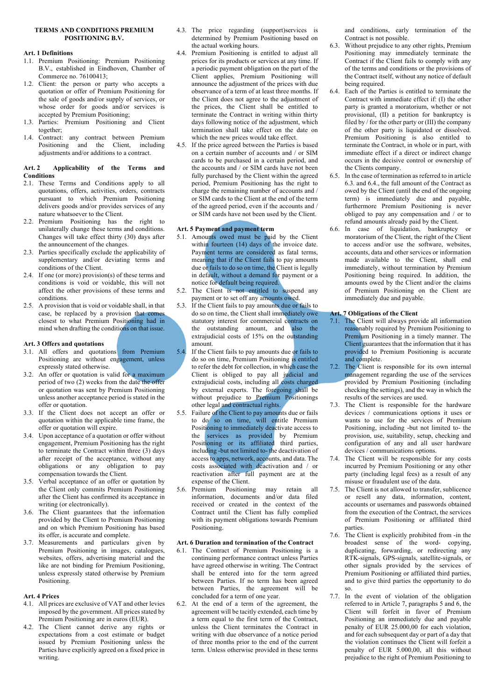## **TERMS AND CONDITIONS PREMIUM POSITIONING B.V.**

## **Art. 1 Definitions**

- 1.1. Premium Positioning: Premium Positioning B.V., established in Eindhoven, Chamber of Commerce no. 76100413;
- 1.2. Client: the person or party who accepts a quotation or offer of Premium Positioning for the sale of goods and/or supply of services, or whose order for goods and/or services is accepted by Premium Positioning;
- 1.3. Parties: Premium Positioning and Client together;
- 1.4. Contract: any contract between Premium Positioning and the Client, including adjustments and/or additions to a contract.

#### **Art. 2 Applicability of the Terms and Conditions**

- 2.1. These Terms and Conditions apply to all quotations, offers, activities, orders, contracts pursuant to which Premium Positioning delivers goods and/or provides services of any nature whatsoever to the Client.
- 2.2. Premium Positioning has the right to unilaterally change these terms and conditions. Changes will take effect thirty (30) days after the announcement of the changes.
- 2.3. Parties specifically exclude the applicability of supplementary and/or deviating terms and conditions of the Client.
- 2.4. If one (or more) provision(s) of these terms and conditions is void or voidable, this will not affect the other provisions of these terms and conditions.
- 2.5. A provision that is void or voidable shall, in that case, be replaced by a provision that comes closest to what Premium Positioning had in mind when drafting the conditions on that issue.

### **Art. 3 Offers and quotations**

- 3.1. All offers and quotations from Premium Positioning are without engagement, unless expressly stated otherwise.
- 3.2. An offer or quotation is valid for a maximum period of two (2) weeks from the date the offer or quotation was sent by Premium Positioning unless another acceptance period is stated in the offer or quotation.
- 3.3. If the Client does not accept an offer or quotation within the applicable time frame, the offer or quotation will expire.
- 3.4. Upon acceptance of a quotation or offer without engagement, Premium Positioning has the right to terminate the Contract within three (3) days after receipt of the acceptance, without any obligations or any obligation to pay compensation towards the Client.
- 3.5. Verbal acceptance of an offer or quotation by the Client only commits Premium Positioning after the Client has confirmed its acceptance in writing (or electronically).
- 3.6. The Client guarantees that the information provided by the Client to Premium Positioning and on which Premium Positioning has based its offer, is accurate and complete.
- 3.7. Measurements and particulars given by Premium Positioning in images, catalogues, websites, offers, advertising material and the like are not binding for Premium Positioning, unless expressly stated otherwise by Premium Positioning.

#### **Art. 4 Prices**

- 4.1. All prices are exclusive of VAT and other levies imposed by the government. All prices stated by Premium Positioning are in euros (EUR).
- 4.2. The Client cannot derive any rights or expectations from a cost estimate or budget issued by Premium Positioning unless the Parties have explicitly agreed on a fixed price in writing.
- 4.3. The price regarding (support)services is determined by Premium Positioning based on the actual working hours.
- 4.4. Premium Positioning is entitled to adjust all prices for its products or services at any time. If a periodic payment obligation on the part of the Client applies, Premium Positioning will announce the adjustment of the prices with due observance of a term of at least three months. If the Client does not agree to the adjustment of the prices, the Client shall be entitled to terminate the Contract in writing within thirty days following notice of the adjustment, which termination shall take effect on the date on which the new prices would take effect.
- 4.5. If the price agreed between the Parties is based on a certain number of accounts and / or SIM cards to be purchased in a certain period, and the accounts and / or SIM cards have not been fully purchased by the Client within the agreed period, Premium Positioning has the right to charge the remaining number of accounts and / or SIM cards to the Client at the end of the term of the agreed period, even if the accounts and / or SIM cards have not been used by the Client.

## **Art. 5 Payment and payment term**

- 5.1. Amounts owed must be paid by the Client within fourteen (14) days of the invoice date. Payment terms are considered as fatal terms, meaning that if the Client fails to pay amounts due or fails to do so on time, the Client is legally in default, without a demand for payment or a notice for default being required.
- 5.2. The Client is not entitled to suspend any payment or to set off any amounts owed.
- If the Client fails to pay amounts due or fails to do so on time, the Client shall immediately owe statutory interest for commercial contracts on the outstanding amount, and also the extrajudicial costs of 15% on the outstanding amount.
- 5.4. If the Client fails to pay amounts due or fails to do so on time, Premium Positioning is entitled to refer the debt for collection, in which case the Client is obliged to pay all judicial and extrajudicial costs, including all costs charged by external experts. The foregoing shall be without prejudice to Premium Positionings other legal and contractual rights.
- 5.5. Failure of the Client to pay amounts due or fails to do so on time, will entitle Premium Positioning to immediately deactivate access to the services as provided by Premium Positioning or its affiliated third parties, including -but not limited to- the deactivation of access to apps, network, accounts, and data. The costs associated with deactivation and / or reactivation after full payment are at the expense of the Client.
- 5.6. Premium Positioning may retain all information, documents and/or data filed received or created in the context of the Contract until the Client has fully complied with its payment obligations towards Premium Positioning.

## **Art. 6 Duration and termination of the Contract**

- 6.1. The Contract of Premium Positioning is a continuing performance contract unless Parties have agreed otherwise in writing. The Contract shall be entered into for the term agreed between Parties. If no term has been agreed between Parties, the agreement will be concluded for a term of one year.
- 6.2. At the end of a term of the agreement, the agreement will be tacitly extended, each time by a term equal to the first term of the Contract, unless the Client terminates the Contract in writing with due observance of a notice period of three months prior to the end of the current term. Unless otherwise provided in these terms

and conditions, early termination of the Contract is not possible.

- 6.3. Without prejudice to any other rights, Premium Positioning may immediately terminate the Contract if the Client fails to comply with any of the terms and conditions or the provisions of the Contract itself, without any notice of default being required.
- 6.4. Each of the Parties is entitled to terminate the Contract with immediate effect if: (I) the other party is granted a moratorium, whether or not provisional, (II) a petition for bankruptcy is filed by / for the other party or  $(III)$  the company of the other party is liquidated or dissolved. Premium Positioning is also entitled to terminate the Contract, in whole or in part, with immediate effect if a direct or indirect change occurs in the decisive control or ownership of the Clients company.
- 6.5. In the case of termination as referred to in article 6.3. and 6.4., the full amount of the Contract as owed by the Client (until the end of the ongoing term) is immediately due and payable, furthermore Premium Positioning is never obliged to pay any compensation and / or to refund amounts already paid by the Client.
- 6.6. In case of liquidation, bankruptcy or moratorium of the Client, the right of the Client to access and/or use the software, websites, accounts, data and other services or information made available to the Client, shall end immediately, without termination by Premium Positioning being required. In addition, the amounts owed by the Client and/or the claims of Premium Positioning on the Client are immediately due and payable.

# **Art. 7 Obligations of the Client**

- 7.1. The Client will always provide all information reasonably required by Premium Positioning to Premium Positioning in a timely manner. The Client guarantees that the information that it has provided to Premium Positioning is accurate and complete.
- 7.2. The Client is responsible for its own internal management regarding the use of the services provided by Premium Positioning (including checking the settings), and the way in which the results of the services are used.
- 7.3. The Client is responsible for the hardware devices / communications options it uses or wants to use for the services of Premium Positioning, including -but not limited to- the provision, use, suitability, setup, checking and configuration of any and all user hardware devices / communications options.
- 7.4. The Client will be responsible for any costs incurred by Premium Positioning or any other party (including legal fees) as a result of any misuse or fraudulent use of the data.
- 7.5. The Client is not allowed to transfer, sublicence or resell any data, information, content, accounts or usernames and passwords obtained from the execution of the Contract, the services of Premium Positioning or affiliated third parties.
- 7.6. The Client is explicitly prohibited from -in the broadest sense of the word- copying, duplicating, forwarding, or redirecting any RTK-signals, GPS-signals, satellite-signals, or other signals provided by the services of Premium Positioning or affiliated third parties, and to give third parties the opportunity to do so.
- 7.7. In the event of violation of the obligation referred to in Article 7, paragraphs 5 and 6, the Client will forfeit in favor of Premium Positioning an immediately due and payable penalty of EUR 25.000,00 for each violation, and for each subsequent day or part of a day that the violation continues the Client will forfeit a penalty of EUR 5.000,00, all this without prejudice to the right of Premium Positioning to